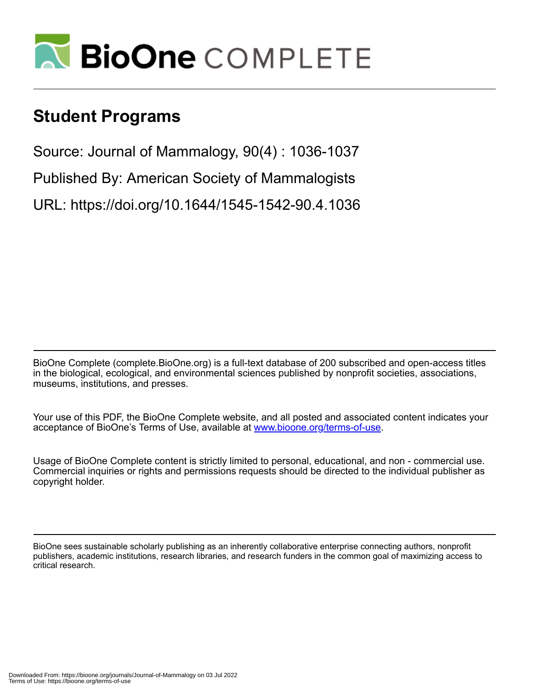

## **Student Programs**

Source: Journal of Mammalogy, 90(4) : 1036-1037

Published By: American Society of Mammalogists

URL: https://doi.org/10.1644/1545-1542-90.4.1036

BioOne Complete (complete.BioOne.org) is a full-text database of 200 subscribed and open-access titles in the biological, ecological, and environmental sciences published by nonprofit societies, associations, museums, institutions, and presses.

Your use of this PDF, the BioOne Complete website, and all posted and associated content indicates your acceptance of BioOne's Terms of Use, available at www.bioone.org/terms-of-use.

Usage of BioOne Complete content is strictly limited to personal, educational, and non - commercial use. Commercial inquiries or rights and permissions requests should be directed to the individual publisher as copyright holder.

BioOne sees sustainable scholarly publishing as an inherently collaborative enterprise connecting authors, nonprofit publishers, academic institutions, research libraries, and research funders in the common goal of maximizing access to critical research.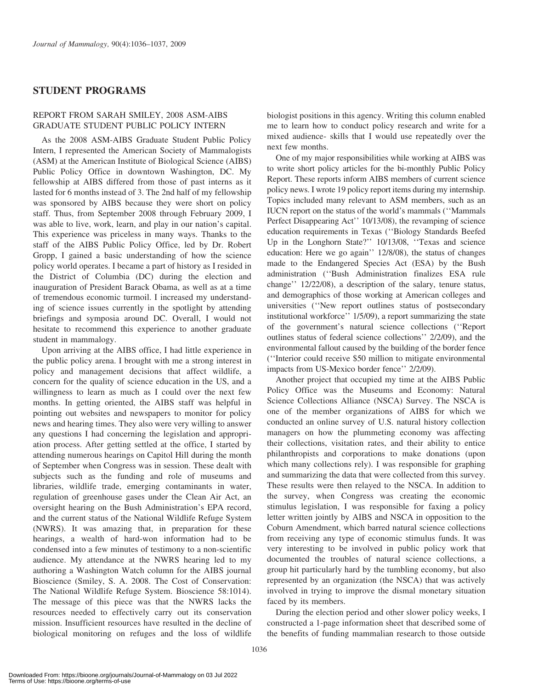## STUDENT PROGRAMS

## REPORT FROM SARAH SMILEY, 2008 ASM-AIBS GRADUATE STUDENT PUBLIC POLICY INTERN

As the 2008 ASM-AIBS Graduate Student Public Policy Intern, I represented the American Society of Mammalogists (ASM) at the American Institute of Biological Science (AIBS) Public Policy Office in downtown Washington, DC. My fellowship at AIBS differed from those of past interns as it lasted for 6 months instead of 3. The 2nd half of my fellowship was sponsored by AIBS because they were short on policy staff. Thus, from September 2008 through February 2009, I was able to live, work, learn, and play in our nation's capital. This experience was priceless in many ways. Thanks to the staff of the AIBS Public Policy Office, led by Dr. Robert Gropp, I gained a basic understanding of how the science policy world operates. I became a part of history as I resided in the District of Columbia (DC) during the election and inauguration of President Barack Obama, as well as at a time of tremendous economic turmoil. I increased my understanding of science issues currently in the spotlight by attending briefings and symposia around DC. Overall, I would not hesitate to recommend this experience to another graduate student in mammalogy.

Upon arriving at the AIBS office, I had little experience in the public policy arena. I brought with me a strong interest in policy and management decisions that affect wildlife, a concern for the quality of science education in the US, and a willingness to learn as much as I could over the next few months. In getting oriented, the AIBS staff was helpful in pointing out websites and newspapers to monitor for policy news and hearing times. They also were very willing to answer any questions I had concerning the legislation and appropriation process. After getting settled at the office, I started by attending numerous hearings on Capitol Hill during the month of September when Congress was in session. These dealt with subjects such as the funding and role of museums and libraries, wildlife trade, emerging contaminants in water, regulation of greenhouse gases under the Clean Air Act, an oversight hearing on the Bush Administration's EPA record, and the current status of the National Wildlife Refuge System (NWRS). It was amazing that, in preparation for these hearings, a wealth of hard-won information had to be condensed into a few minutes of testimony to a non-scientific audience. My attendance at the NWRS hearing led to my authoring a Washington Watch column for the AIBS journal Bioscience (Smiley, S. A. 2008. The Cost of Conservation: The National Wildlife Refuge System. Bioscience 58:1014). The message of this piece was that the NWRS lacks the resources needed to effectively carry out its conservation mission. Insufficient resources have resulted in the decline of biological monitoring on refuges and the loss of wildlife biologist positions in this agency. Writing this column enabled me to learn how to conduct policy research and write for a mixed audience- skills that I would use repeatedly over the next few months.

One of my major responsibilities while working at AIBS was to write short policy articles for the bi-monthly Public Policy Report. These reports inform AIBS members of current science policy news. I wrote 19 policy report items during my internship. Topics included many relevant to ASM members, such as an IUCN report on the status of the world's mammals (''Mammals Perfect Disappearing Act'' 10/13/08), the revamping of science education requirements in Texas (''Biology Standards Beefed Up in the Longhorn State?'' 10/13/08, ''Texas and science education: Here we go again'' 12/8/08), the status of changes made to the Endangered Species Act (ESA) by the Bush administration (''Bush Administration finalizes ESA rule change'' 12/22/08), a description of the salary, tenure status, and demographics of those working at American colleges and universities (''New report outlines status of postsecondary institutional workforce'' 1/5/09), a report summarizing the state of the government's natural science collections (''Report outlines status of federal science collections'' 2/2/09), and the environmental fallout caused by the building of the border fence (''Interior could receive \$50 million to mitigate environmental impacts from US-Mexico border fence'' 2/2/09).

Another project that occupied my time at the AIBS Public Policy Office was the Museums and Economy: Natural Science Collections Alliance (NSCA) Survey. The NSCA is one of the member organizations of AIBS for which we conducted an online survey of U.S. natural history collection managers on how the plummeting economy was affecting their collections, visitation rates, and their ability to entice philanthropists and corporations to make donations (upon which many collections rely). I was responsible for graphing and summarizing the data that were collected from this survey. These results were then relayed to the NSCA. In addition to the survey, when Congress was creating the economic stimulus legislation, I was responsible for faxing a policy letter written jointly by AIBS and NSCA in opposition to the Coburn Amendment, which barred natural science collections from receiving any type of economic stimulus funds. It was very interesting to be involved in public policy work that documented the troubles of natural science collections, a group hit particularly hard by the tumbling economy, but also represented by an organization (the NSCA) that was actively involved in trying to improve the dismal monetary situation faced by its members.

During the election period and other slower policy weeks, I constructed a 1-page information sheet that described some of the benefits of funding mammalian research to those outside